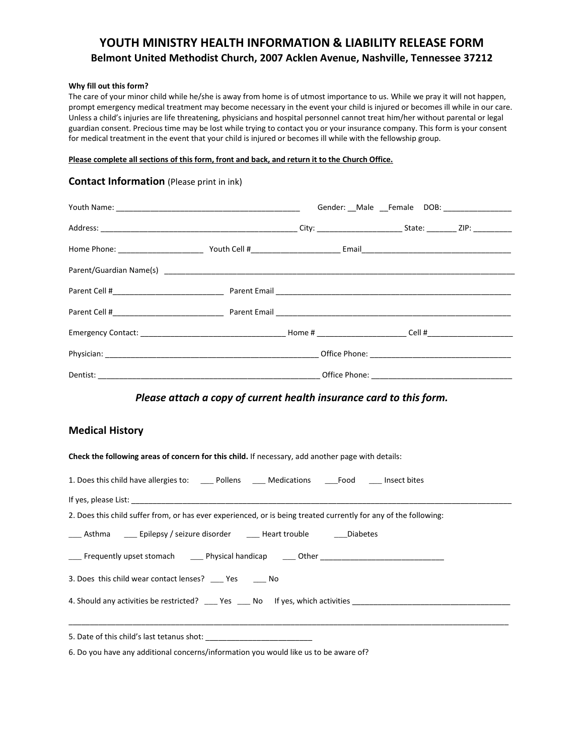# **YOUTH MINISTRY HEALTH INFORMATION & LIABILITY RELEASE FORM Belmont United Methodist Church, 2007 Acklen Avenue, Nashville, Tennessee 37212**

#### **Why fill out this form?**

The care of your minor child while he/she is away from home is of utmost importance to us. While we pray it will not happen, prompt emergency medical treatment may become necessary in the event your child is injured or becomes ill while in our care. Unless a child's injuries are life threatening, physicians and hospital personnel cannot treat him/her without parental or legal guardian consent. Precious time may be lost while trying to contact you or your insurance company. This form is your consent for medical treatment in the event that your child is injured or becomes ill while with the fellowship group.

### **Please complete all sections of this form, front and back, and return it to the Church Office.**

## **Contact Information** (Please print in ink)

|  | Gender: __Male __Female DOB: _______________ |  |  |  |  |
|--|----------------------------------------------|--|--|--|--|
|  |                                              |  |  |  |  |
|  |                                              |  |  |  |  |
|  |                                              |  |  |  |  |
|  |                                              |  |  |  |  |
|  |                                              |  |  |  |  |
|  |                                              |  |  |  |  |
|  |                                              |  |  |  |  |
|  |                                              |  |  |  |  |

## *Please attach a copy of current health insurance card to this form.*

## **Medical History**

| Check the following areas of concern for this child. If necessary, add another page with details:                |
|------------------------------------------------------------------------------------------------------------------|
| 1. Does this child have allergies to: ______ Pollens ______ Medications _____Food ______ Insect bites            |
|                                                                                                                  |
| 2. Does this child suffer from, or has ever experienced, or is being treated currently for any of the following: |
| _____ Asthma ______ Epilepsy / seizure disorder ______ Heart trouble _______ Diabetes                            |
| ______ Frequently upset stomach _________ Physical handicap ________ Other _______________________________       |
| 3. Does this child wear contact lenses? Nes No                                                                   |
| 4. Should any activities be restricted? _____ Yes _____ No lf yes, which activities __________________________   |
| 5. Date of this child's last tetanus shot:                                                                       |

6. Do you have any additional concerns/information you would like us to be aware of?